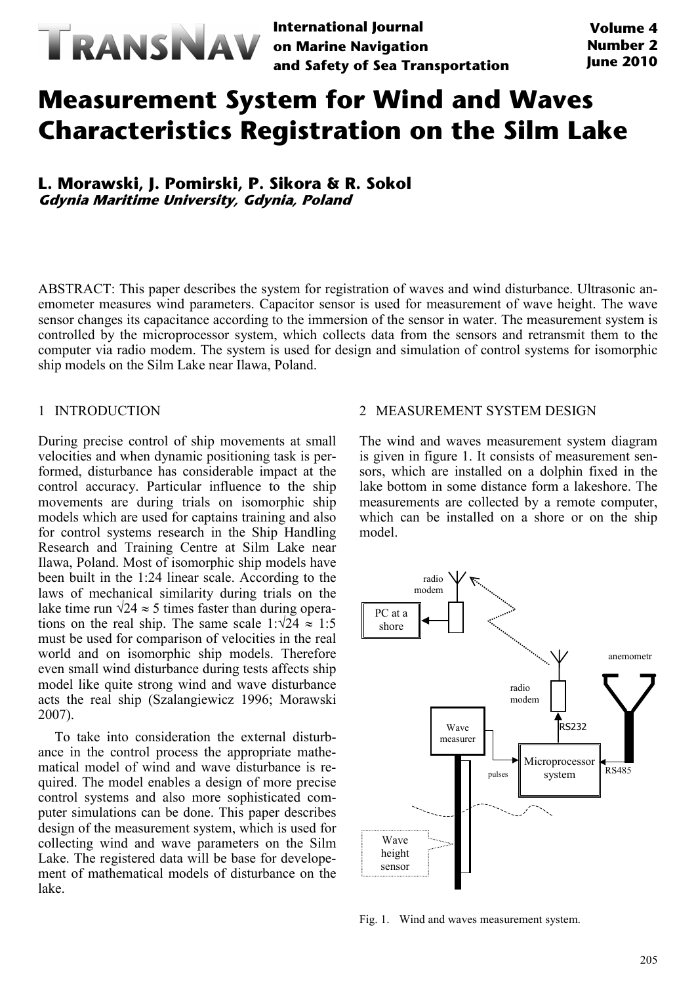

**International Journal on Marine Navigation and Safety of Sea Transportation**

# **Measurement System for Wind and Waves Characteristics Registration on the Silm Lake**

**L. Morawski, J. Pomirski, P. Sikora & R. Sokol Gdynia Maritime University, Gdynia, Poland**

ABSTRACT: This paper describes the system for registration of waves and wind disturbance. Ultrasonic anemometer measures wind parameters. Capacitor sensor is used for measurement of wave height. The wave sensor changes its capacitance according to the immersion of the sensor in water. The measurement system is controlled by the microprocessor system, which collects data from the sensors and retransmit them to the computer via radio modem. The system is used for design and simulation of control systems for isomorphic ship models on the Silm Lake near Ilawa, Poland.

## 1 INTRODUCTION

During precise control of ship movements at small velocities and when dynamic positioning task is performed, disturbance has considerable impact at the control accuracy. Particular influence to the ship movements are during trials on isomorphic ship models which are used for captains training and also for control systems research in the Ship Handling Research and Training Centre at Silm Lake near Ilawa, Poland. Most of isomorphic ship models have been built in the 1:24 linear scale. According to the laws of mechanical similarity during trials on the lake time run  $\sqrt{24} \approx 5$  times faster than during operations on the real ship. The same scale  $1:\sqrt{24} \approx 1:5$ must be used for comparison of velocities in the real world and on isomorphic ship models. Therefore even small wind disturbance during tests affects ship model like quite strong wind and wave disturbance acts the real ship (Szalangiewicz 1996; Morawski 2007).

To take into consideration the external disturbance in the control process the appropriate mathematical model of wind and wave disturbance is required. The model enables a design of more precise control systems and also more sophisticated computer simulations can be done. This paper describes design of the measurement system, which is used for collecting wind and wave parameters on the Silm Lake. The registered data will be base for developement of mathematical models of disturbance on the lake.

## 2 MEASUREMENT SYSTEM DESIGN

The wind and waves measurement system diagram is given in figure 1. It consists of measurement sensors, which are installed on a dolphin fixed in the lake bottom in some distance form a lakeshore. The measurements are collected by a remote computer, which can be installed on a shore or on the ship model.



Fig. 1. Wind and waves measurement system.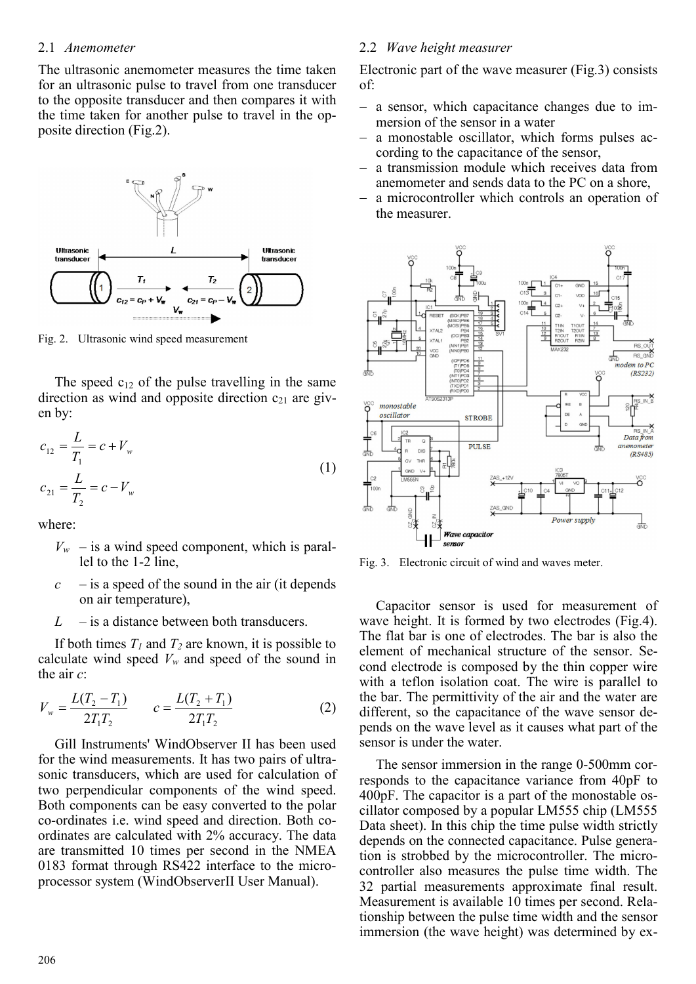# 2.1 *Anemometer*

The ultrasonic anemometer measures the time taken for an ultrasonic pulse to travel from one transducer to the opposite transducer and then compares it with the time taken for another pulse to travel in the opposite direction (Fig.2).



Fig. 2. Ultrasonic wind speed measurement

The speed  $c_{12}$  of the pulse travelling in the same direction as wind and opposite direction  $c_{21}$  are given by:

$$
c_{12} = \frac{L}{T_1} = c + V_w
$$
  
\n
$$
c_{21} = \frac{L}{T_2} = c - V_w
$$
\n(1)

where:

- $V_w$  is a wind speed component, which is parallel to the 1-2 line,
- $c -$  is a speed of the sound in the air (it depends on air temperature),
- *L* is a distance between both transducers.

If both times  $T_I$  and  $T_2$  are known, it is possible to calculate wind speed  $V_w$  and speed of the sound in the air *c*:

$$
V_w = \frac{L(T_2 - T_1)}{2T_1T_2} \qquad c = \frac{L(T_2 + T_1)}{2T_1T_2} \tag{2}
$$

Gill Instruments' WindObserver II has been used for the wind measurements. It has two pairs of ultrasonic transducers, which are used for calculation of two perpendicular components of the wind speed. Both components can be easy converted to the polar co-ordinates i.e. wind speed and direction. Both coordinates are calculated with 2% accuracy. The data are transmitted 10 times per second in the NMEA 0183 format through RS422 interface to the microprocessor system (WindObserverII User Manual).

### 2.2 *Wave height measurer*

Electronic part of the wave measurer (Fig.3) consists of:

- − a sensor, which capacitance changes due to immersion of the sensor in a water
- a monostable oscillator, which forms pulses according to the capacitance of the sensor,
- a transmission module which receives data from anemometer and sends data to the PC on a shore,
- a microcontroller which controls an operation of the measurer.



Fig. 3. Electronic circuit of wind and waves meter.

Capacitor sensor is used for measurement of wave height. It is formed by two electrodes (Fig.4). The flat bar is one of electrodes. The bar is also the element of mechanical structure of the sensor. Second electrode is composed by the thin copper wire with a teflon isolation coat. The wire is parallel to the bar. The permittivity of the air and the water are different, so the capacitance of the wave sensor depends on the wave level as it causes what part of the sensor is under the water.

The sensor immersion in the range 0-500mm corresponds to the capacitance variance from 40pF to 400pF. The capacitor is a part of the monostable oscillator composed by a popular LM555 chip (LM555 Data sheet). In this chip the time pulse width strictly depends on the connected capacitance. Pulse generation is strobbed by the microcontroller. The microcontroller also measures the pulse time width. The 32 partial measurements approximate final result. Measurement is available 10 times per second. Relationship between the pulse time width and the sensor immersion (the wave height) was determined by ex